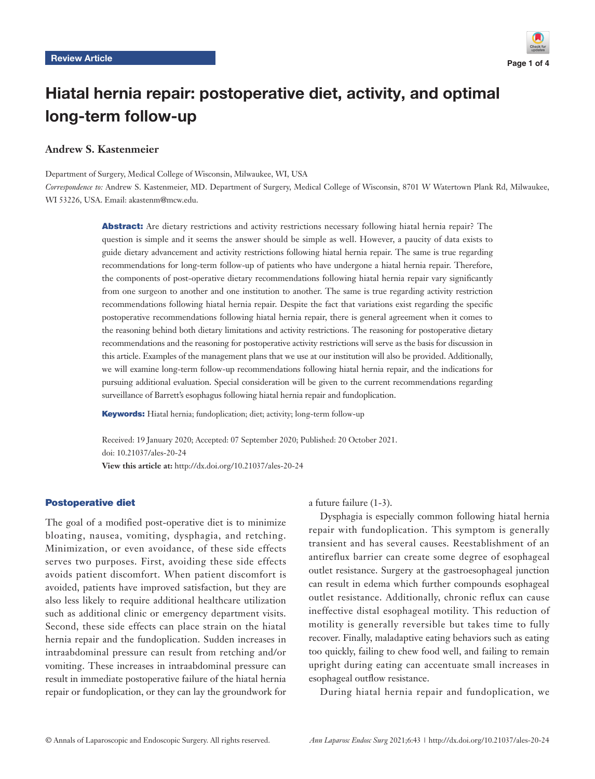

# Hiatal hernia repair: postoperative diet, activity, and optimal long-term follow-up

# **Andrew S. Kastenmeier**

Department of Surgery, Medical College of Wisconsin, Milwaukee, WI, USA

*Correspondence to:* Andrew S. Kastenmeier, MD. Department of Surgery, Medical College of Wisconsin, 8701 W Watertown Plank Rd, Milwaukee, WI 53226, USA. Email: akastenm@mcw.edu.

> Abstract: Are dietary restrictions and activity restrictions necessary following hiatal hernia repair? The question is simple and it seems the answer should be simple as well. However, a paucity of data exists to guide dietary advancement and activity restrictions following hiatal hernia repair. The same is true regarding recommendations for long-term follow-up of patients who have undergone a hiatal hernia repair. Therefore, the components of post-operative dietary recommendations following hiatal hernia repair vary significantly from one surgeon to another and one institution to another. The same is true regarding activity restriction recommendations following hiatal hernia repair. Despite the fact that variations exist regarding the specific postoperative recommendations following hiatal hernia repair, there is general agreement when it comes to the reasoning behind both dietary limitations and activity restrictions. The reasoning for postoperative dietary recommendations and the reasoning for postoperative activity restrictions will serve as the basis for discussion in this article. Examples of the management plans that we use at our institution will also be provided. Additionally, we will examine long-term follow-up recommendations following hiatal hernia repair, and the indications for pursuing additional evaluation. Special consideration will be given to the current recommendations regarding surveillance of Barrett's esophagus following hiatal hernia repair and fundoplication.

Keywords: Hiatal hernia; fundoplication; diet; activity; long-term follow-up

Received: 19 January 2020; Accepted: 07 September 2020; Published: 20 October 2021. doi: 10.21037/ales-20-24

**View this article at:** http://dx.doi.org/10.21037/ales-20-24

#### Postoperative diet

The goal of a modified post-operative diet is to minimize bloating, nausea, vomiting, dysphagia, and retching. Minimization, or even avoidance, of these side effects serves two purposes. First, avoiding these side effects avoids patient discomfort. When patient discomfort is avoided, patients have improved satisfaction, but they are also less likely to require additional healthcare utilization such as additional clinic or emergency department visits. Second, these side effects can place strain on the hiatal hernia repair and the fundoplication. Sudden increases in intraabdominal pressure can result from retching and/or vomiting. These increases in intraabdominal pressure can result in immediate postoperative failure of the hiatal hernia repair or fundoplication, or they can lay the groundwork for a future failure (1-3).

Dysphagia is especially common following hiatal hernia repair with fundoplication. This symptom is generally transient and has several causes. Reestablishment of an antireflux barrier can create some degree of esophageal outlet resistance. Surgery at the gastroesophageal junction can result in edema which further compounds esophageal outlet resistance. Additionally, chronic reflux can cause ineffective distal esophageal motility. This reduction of motility is generally reversible but takes time to fully recover. Finally, maladaptive eating behaviors such as eating too quickly, failing to chew food well, and failing to remain upright during eating can accentuate small increases in esophageal outflow resistance.

During hiatal hernia repair and fundoplication, we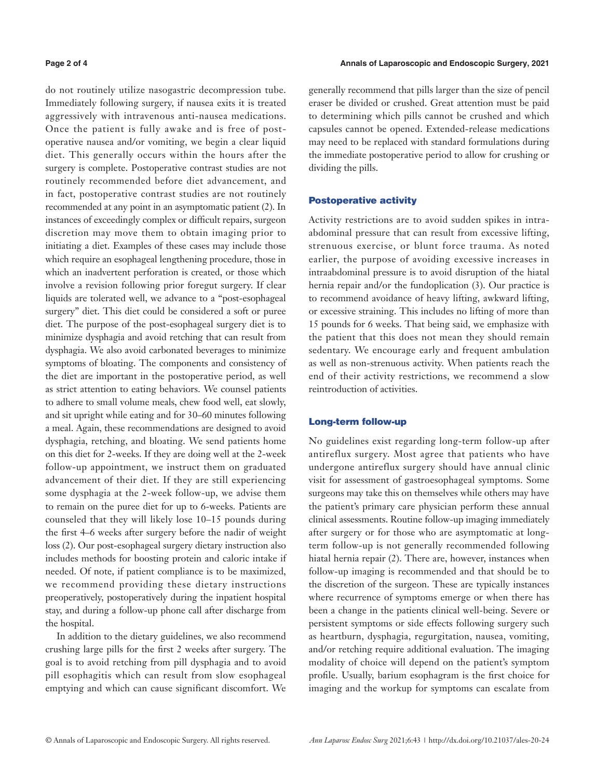do not routinely utilize nasogastric decompression tube. Immediately following surgery, if nausea exits it is treated aggressively with intravenous anti-nausea medications. Once the patient is fully awake and is free of postoperative nausea and/or vomiting, we begin a clear liquid diet. This generally occurs within the hours after the surgery is complete. Postoperative contrast studies are not routinely recommended before diet advancement, and in fact, postoperative contrast studies are not routinely recommended at any point in an asymptomatic patient (2). In instances of exceedingly complex or difficult repairs, surgeon discretion may move them to obtain imaging prior to initiating a diet. Examples of these cases may include those which require an esophageal lengthening procedure, those in which an inadvertent perforation is created, or those which involve a revision following prior foregut surgery. If clear liquids are tolerated well, we advance to a "post-esophageal surgery" diet. This diet could be considered a soft or puree diet. The purpose of the post-esophageal surgery diet is to minimize dysphagia and avoid retching that can result from dysphagia. We also avoid carbonated beverages to minimize symptoms of bloating. The components and consistency of the diet are important in the postoperative period, as well as strict attention to eating behaviors. We counsel patients to adhere to small volume meals, chew food well, eat slowly, and sit upright while eating and for 30–60 minutes following a meal. Again, these recommendations are designed to avoid dysphagia, retching, and bloating. We send patients home on this diet for 2-weeks. If they are doing well at the 2-week follow-up appointment, we instruct them on graduated advancement of their diet. If they are still experiencing some dysphagia at the 2-week follow-up, we advise them to remain on the puree diet for up to 6-weeks. Patients are counseled that they will likely lose 10–15 pounds during the first 4–6 weeks after surgery before the nadir of weight loss (2). Our post-esophageal surgery dietary instruction also includes methods for boosting protein and caloric intake if needed. Of note, if patient compliance is to be maximized, we recommend providing these dietary instructions preoperatively, postoperatively during the inpatient hospital stay, and during a follow-up phone call after discharge from the hospital.

In addition to the dietary guidelines, we also recommend crushing large pills for the first 2 weeks after surgery. The goal is to avoid retching from pill dysphagia and to avoid pill esophagitis which can result from slow esophageal emptying and which can cause significant discomfort. We

generally recommend that pills larger than the size of pencil eraser be divided or crushed. Great attention must be paid to determining which pills cannot be crushed and which capsules cannot be opened. Extended-release medications may need to be replaced with standard formulations during the immediate postoperative period to allow for crushing or dividing the pills.

# Postoperative activity

Activity restrictions are to avoid sudden spikes in intraabdominal pressure that can result from excessive lifting, strenuous exercise, or blunt force trauma. As noted earlier, the purpose of avoiding excessive increases in intraabdominal pressure is to avoid disruption of the hiatal hernia repair and/or the fundoplication (3). Our practice is to recommend avoidance of heavy lifting, awkward lifting, or excessive straining. This includes no lifting of more than 15 pounds for 6 weeks. That being said, we emphasize with the patient that this does not mean they should remain sedentary. We encourage early and frequent ambulation as well as non-strenuous activity. When patients reach the end of their activity restrictions, we recommend a slow reintroduction of activities.

### Long-term follow-up

No guidelines exist regarding long-term follow-up after antireflux surgery. Most agree that patients who have undergone antireflux surgery should have annual clinic visit for assessment of gastroesophageal symptoms. Some surgeons may take this on themselves while others may have the patient's primary care physician perform these annual clinical assessments. Routine follow-up imaging immediately after surgery or for those who are asymptomatic at longterm follow-up is not generally recommended following hiatal hernia repair (2). There are, however, instances when follow-up imaging is recommended and that should be to the discretion of the surgeon. These are typically instances where recurrence of symptoms emerge or when there has been a change in the patients clinical well-being. Severe or persistent symptoms or side effects following surgery such as heartburn, dysphagia, regurgitation, nausea, vomiting, and/or retching require additional evaluation. The imaging modality of choice will depend on the patient's symptom profile. Usually, barium esophagram is the first choice for imaging and the workup for symptoms can escalate from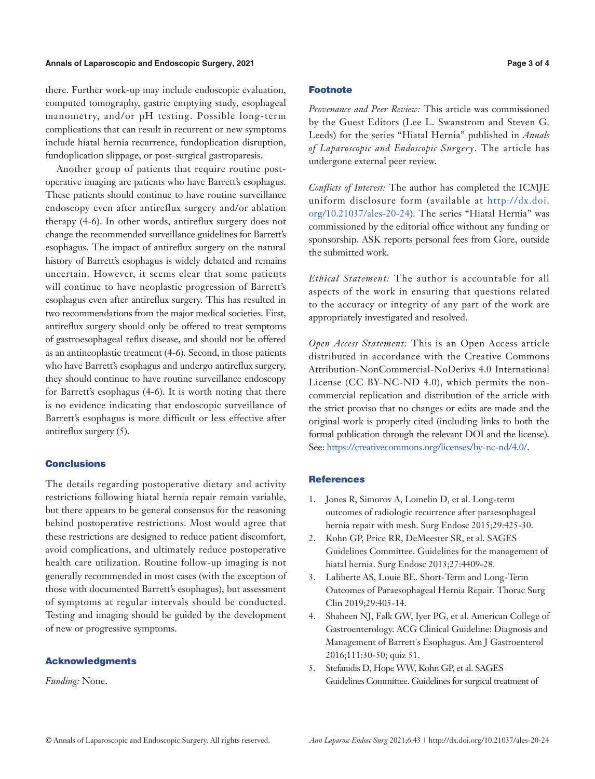#### **Annals of Laparoscopic and Endoscopic Surgery, 2021 Page 3 of 4**

there. Further work-up may include endoscopic evaluation, computed tomography, gastric emptying study, esophageal manometry, and/or pH testing. Possible long-term complications that can result in recurrent or new symptoms include hiatal hernia recurrence, fundoplication disruption, fundoplication slippage, or post-surgical gastroparesis.

Another group of patients that require routine postoperative imaging are patients who have Barrett's esophagus. These patients should continue to have routine surveillance endoscopy even after antireflux surgery and/or ablation therapy (4-6). In other words, antireflux surgery does not change the recommended surveillance guidelines for Barrett's esophagus. The impact of antireflux surgery on the natural history of Barrett's esophagus is widely debated and remains uncertain. However, it seems clear that some patients will continue to have neoplastic progression of Barrett's esophagus even after antireflux surgery. This has resulted in two recommendations from the major medical societies. First, antireflux surgery should only be offered to treat symptoms of gastroesophageal reflux disease, and should not be offered as an antineoplastic treatment (4-6). Second, in those patients who have Barrett's esophagus and undergo antireflux surgery, they should continue to have routine surveillance endoscopy for Barrett's esophagus (4-6). It is worth noting that there is no evidence indicating that endoscopic surveillance of Barrett's esophagus is more difficult or less effective after antireflux surgery (5).

### **Conclusions**

The details regarding postoperative dietary and activity restrictions following hiatal hernia repair remain variable, but there appears to be general consensus for the reasoning behind postoperative restrictions. Most would agree that these restrictions are designed to reduce patient discomfort, avoid complications, and ultimately reduce postoperative health care utilization. Routine follow-up imaging is not generally recommended in most cases (with the exception of those with documented Barrett's esophagus), but assessment of symptoms at regular intervals should be conducted. Testing and imaging should be guided by the development of new or progressive symptoms.

### Acknowledgments

*Funding:* None.

# Footnote

*Provenance and Peer Review:* This article was commissioned by the Guest Editors (Lee L. Swanstrom and Steven G. Leeds) for the series "Hiatal Hernia" published in *Annals of Laparoscopic and Endoscopic Surgery*. The article has undergone external peer review.

*Conflicts of Interest:* The author has completed the ICMJE uniform disclosure form (available at [http://dx.doi.](http://dx.doi.org/10.21037/ales-20-24) [org/10.21037/ales-20-24](http://dx.doi.org/10.21037/ales-20-24)). The series "Hiatal Hernia" was commissioned by the editorial office without any funding or sponsorship. ASK reports personal fees from Gore, outside the submitted work.

*Ethical Statement:* The author is accountable for all aspects of the work in ensuring that questions related to the accuracy or integrity of any part of the work are appropriately investigated and resolved.

*Open Access Statement:* This is an Open Access article distributed in accordance with the Creative Commons Attribution-NonCommercial-NoDerivs 4.0 International License (CC BY-NC-ND 4.0), which permits the noncommercial replication and distribution of the article with the strict proviso that no changes or edits are made and the original work is properly cited (including links to both the formal publication through the relevant DOI and the license). See: [https://creativecommons.org/licenses/by-nc-nd/4.0/.](https://creativecommons.org/licenses/by-nc-nd/4.0/)

#### **References**

- 1. Jones R, Simorov A, Lomelin D, et al. Long-term outcomes of radiologic recurrence after paraesophageal hernia repair with mesh. Surg Endosc 2015;29:425-30.
- 2. Kohn GP, Price RR, DeMeester SR, et al. SAGES Guidelines Committee. Guidelines for the management of hiatal hernia. Surg Endosc 2013;27:4409-28.
- 3. Laliberte AS, Louie BE. Short-Term and Long-Term Outcomes of Paraesophageal Hernia Repair. Thorac Surg Clin 2019;29:405-14.
- 4. Shaheen NJ, Falk GW, Iyer PG, et al. American College of Gastroenterology. ACG Clinical Guideline: Diagnosis and Management of Barrett's Esophagus. Am J Gastroenterol 2016;111:30-50; quiz 51.
- 5. Stefanidis D, Hope WW, Kohn GP, et al. SAGES Guidelines Committee. Guidelines for surgical treatment of